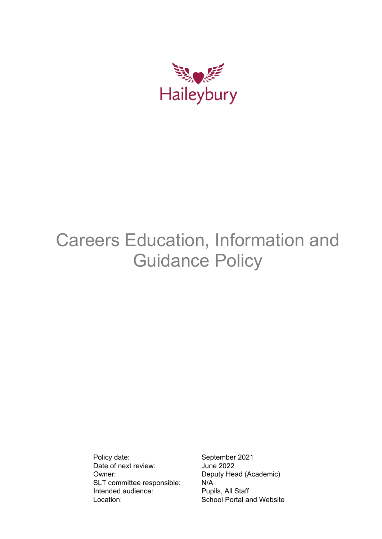

# Careers Education, Information and Guidance Policy

Policy date: September 2021 Date of next review: June 2022 Owner: Deputy Head (Academic) SLT committee responsible: N/A Intended audience: Pupils, All Staff Location: School Portal and Website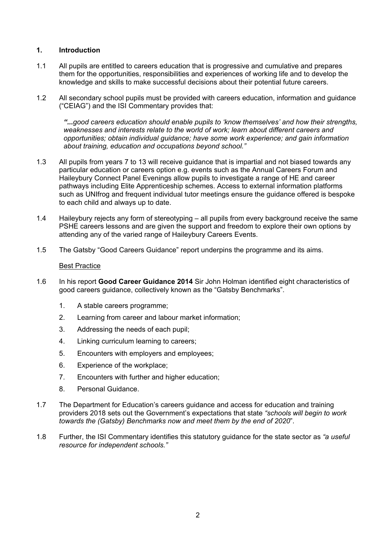# **1. Introduction**

- 1.1 All pupils are entitled to careers education that is progressive and cumulative and prepares them for the opportunities, responsibilities and experiences of working life and to develop the knowledge and skills to make successful decisions about their potential future careers.
- 1.2 All secondary school pupils must be provided with careers education, information and guidance ("CEIAG") and the ISI Commentary provides that:

*"...good careers education should enable pupils to 'know themselves' and how their strengths, weaknesses and interests relate to the world of work; learn about different careers and opportunities; obtain individual guidance; have some work experience; and gain information about training, education and occupations beyond school."*

- 1.3 All pupils from years 7 to 13 will receive guidance that is impartial and not biased towards any particular education or careers option e.g. events such as the Annual Careers Forum and Haileybury Connect Panel Evenings allow pupils to investigate a range of HE and career pathways including Elite Apprenticeship schemes. Access to external information platforms such as UNIfrog and frequent individual tutor meetings ensure the guidance offered is bespoke to each child and always up to date.
- 1.4 Haileybury rejects any form of stereotyping all pupils from every background receive the same PSHE careers lessons and are given the support and freedom to explore their own options by attending any of the varied range of Haileybury Careers Events.
- 1.5 The Gatsby "Good Careers Guidance" report underpins the programme and its aims.

#### Best Practice

- 1.6 In his report **Good Career Guidance 2014** Sir John Holman identified eight characteristics of good careers guidance, collectively known as the "Gatsby Benchmarks".
	- 1. A stable careers programme;
	- 2. Learning from career and labour market information;
	- 3. Addressing the needs of each pupil;
	- 4. Linking curriculum learning to careers;
	- 5. Encounters with employers and employees;
	- 6. Experience of the workplace;
	- 7. Encounters with further and higher education;
	- 8. Personal Guidance.
- 1.7 The Department for Education's careers guidance and access for education and training providers 2018 sets out the Government's expectations that state *"schools will begin to work towards the (Gatsby) Benchmarks now and meet them by the end of 2020*".
- 1.8 Further, the ISI Commentary identifies this statutory guidance for the state sector as *"a useful resource for independent schools."*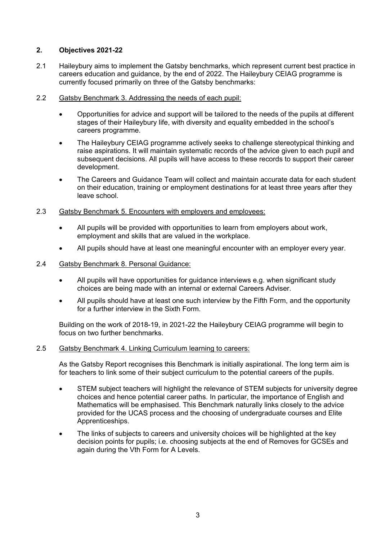# **2. Objectives 2021-22**

- 2.1 Haileybury aims to implement the Gatsby benchmarks, which represent current best practice in careers education and guidance, by the end of 2022. The Haileybury CEIAG programme is currently focused primarily on three of the Gatsby benchmarks:
- 2.2 Gatsby Benchmark 3. Addressing the needs of each pupil:
	- Opportunities for advice and support will be tailored to the needs of the pupils at different stages of their Haileybury life, with diversity and equality embedded in the school's careers programme.
	- The Haileybury CEIAG programme actively seeks to challenge stereotypical thinking and raise aspirations. It will maintain systematic records of the advice given to each pupil and subsequent decisions. All pupils will have access to these records to support their career development.
	- The Careers and Guidance Team will collect and maintain accurate data for each student on their education, training or employment destinations for at least three years after they leave school.
- 2.3 Gatsby Benchmark 5. Encounters with employers and employees:
	- All pupils will be provided with opportunities to learn from employers about work, employment and skills that are valued in the workplace.
	- All pupils should have at least one meaningful encounter with an employer every year.

#### 2.4 Gatsby Benchmark 8. Personal Guidance:

- All pupils will have opportunities for quidance interviews e.g. when significant study choices are being made with an internal or external Careers Adviser.
- All pupils should have at least one such interview by the Fifth Form, and the opportunity for a further interview in the Sixth Form.

Building on the work of 2018-19, in 2021-22 the Haileybury CEIAG programme will begin to focus on two further benchmarks.

#### 2.5 Gatsby Benchmark 4. Linking Curriculum learning to careers:

As the Gatsby Report recognises this Benchmark is initially aspirational. The long term aim is for teachers to link some of their subject curriculum to the potential careers of the pupils.

- STEM subject teachers will highlight the relevance of STEM subjects for university degree choices and hence potential career paths. In particular, the importance of English and Mathematics will be emphasised. This Benchmark naturally links closely to the advice provided for the UCAS process and the choosing of undergraduate courses and Elite Apprenticeships.
- The links of subjects to careers and university choices will be highlighted at the key decision points for pupils; i.e. choosing subjects at the end of Removes for GCSEs and again during the Vth Form for A Levels.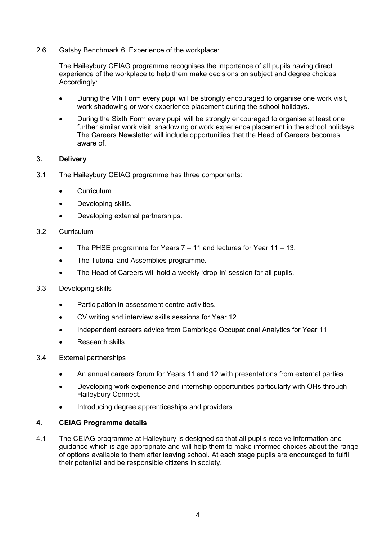# 2.6 Gatsby Benchmark 6. Experience of the workplace:

The Haileybury CEIAG programme recognises the importance of all pupils having direct experience of the workplace to help them make decisions on subject and degree choices. Accordingly:

- During the Vth Form every pupil will be strongly encouraged to organise one work visit, work shadowing or work experience placement during the school holidays.
- During the Sixth Form every pupil will be strongly encouraged to organise at least one further similar work visit, shadowing or work experience placement in the school holidays. The Careers Newsletter will include opportunities that the Head of Careers becomes aware of.

# **3. Delivery**

- 3.1 The Haileybury CEIAG programme has three components:
	- Curriculum.
	- Developing skills.
	- Developing external partnerships.

# 3.2 Curriculum

- The PHSE programme for Years 7 11 and lectures for Year 11 13.
- The Tutorial and Assemblies programme.
- The Head of Careers will hold a weekly 'drop-in' session for all pupils.

# 3.3 Developing skills

- Participation in assessment centre activities.
- CV writing and interview skills sessions for Year 12.
- Independent careers advice from Cambridge Occupational Analytics for Year 11.
- Research skills.

# 3.4 External partnerships

- An annual careers forum for Years 11 and 12 with presentations from external parties.
- Developing work experience and internship opportunities particularly with OHs through Haileybury Connect.
- Introducing degree apprenticeships and providers.

# **4. CEIAG Programme details**

4.1 The CEIAG programme at Haileybury is designed so that all pupils receive information and guidance which is age appropriate and will help them to make informed choices about the range of options available to them after leaving school. At each stage pupils are encouraged to fulfil their potential and be responsible citizens in society.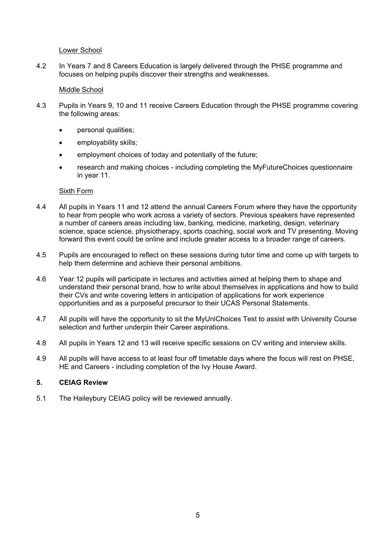# Lower School

4.2 In Years 7 and 8 Careers Education is largely delivered through the PHSE programme and focuses on helping pupils discover their strengths and weaknesses.

#### Middle School

- 4.3 Pupils in Years 9, 10 and 11 receive Careers Education through the PHSE programme covering the following areas:
	- personal qualities;
	- employability skills;
	- employment choices of today and potentially of the future;
	- research and making choices including completing the MyFutureChoices questionnaire in year 11.

#### Sixth Form

- 4.4 All pupils in Years 11 and 12 attend the annual Careers Forum where they have the opportunity to hear from people who work across a variety of sectors. Previous speakers have represented a number of careers areas including law, banking, medicine, marketing, design, veterinary science, space science, physiotherapy, sports coaching, social work and TV presenting. Moving forward this event could be online and include greater access to a broader range of careers.
- 4.5 Pupils are encouraged to reflect on these sessions during tutor time and come up with targets to help them determine and achieve their personal ambitions.
- 4.6 Year 12 pupils will participate in lectures and activities aimed at helping them to shape and understand their personal brand, how to write about themselves in applications and how to build their CVs and write covering letters in anticipation of applications for work experience opportunities and as a purposeful precursor to their UCAS Personal Statements.
- 4.7 All pupils will have the opportunity to sit the MyUniChoices Test to assist with University Course selection and further underpin their Career aspirations.
- 4.8 All pupils in Years 12 and 13 will receive specific sessions on CV writing and interview skills.
- 4.9 All pupils will have access to at least four off timetable days where the focus will rest on PHSE, HE and Careers - including completion of the Ivy House Award.

# **5. CEIAG Review**

5.1 The Haileybury CEIAG policy will be reviewed annually.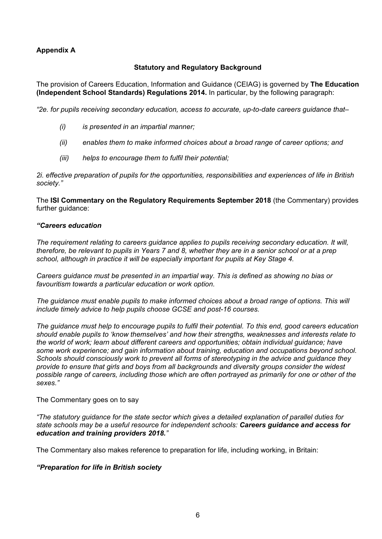# **Appendix A**

# **Statutory and Regulatory Background**

The provision of Careers Education, Information and Guidance (CEIAG) is governed by **The Education (Independent School Standards) Regulations 2014.** In particular, by the following paragraph:

*"2e. for pupils receiving secondary education, access to accurate, up-to-date careers guidance that–*

- *(i) is presented in an impartial manner;*
- *(ii) enables them to make informed choices about a broad range of career options; and*
- *(iii) helps to encourage them to fulfil their potential;*

*2i. effective preparation of pupils for the opportunities, responsibilities and experiences of life in British society."*

The **ISI Commentary on the Regulatory Requirements September 2018** (the Commentary) provides further quidance:

#### *"Careers education*

*The requirement relating to careers guidance applies to pupils receiving secondary education. It will, therefore, be relevant to pupils in Years 7 and 8, whether they are in a senior school or at a prep school, although in practice it will be especially important for pupils at Key Stage 4.*

*Careers guidance must be presented in an impartial way. This is defined as showing no bias or favouritism towards a particular education or work option.*

The quidance must enable pupils to make informed choices about a broad range of options. This will *include timely advice to help pupils choose GCSE and post-16 courses.*

*The guidance must help to encourage pupils to fulfil their potential. To this end, good careers education should enable pupils to 'know themselves' and how their strengths, weaknesses and interests relate to the world of work; learn about different careers and opportunities; obtain individual guidance; have some work experience; and gain information about training, education and occupations beyond school. Schools should consciously work to prevent all forms of stereotyping in the advice and guidance they provide to ensure that girls and boys from all backgrounds and diversity groups consider the widest possible range of careers, including those which are often portrayed as primarily for one or other of the sexes."*

#### The Commentary goes on to say

*"The statutory guidance for the state sector which gives a detailed explanation of parallel duties for state schools may be a useful resource for independent schools: Careers guidance and access for education and training providers 2018."*

The Commentary also makes reference to preparation for life, including working, in Britain:

# *"Preparation for life in British society*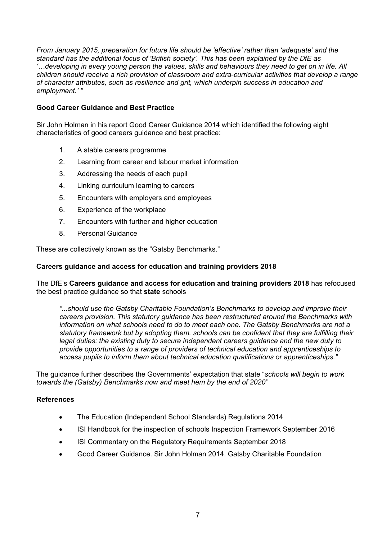*From January 2015, preparation for future life should be 'effective' rather than 'adequate' and the standard has the additional focus of 'British society'. This has been explained by the DfE as '…developing in every young person the values, skills and behaviours they need to get on in life. All children should receive a rich provision of classroom and extra-curricular activities that develop a range of character attributes, such as resilience and grit, which underpin success in education and employment.' "*

# **Good Career Guidance and Best Practice**

Sir John Holman in his report Good Career Guidance 2014 which identified the following eight characteristics of good careers guidance and best practice:

- 1. A stable careers programme
- 2. Learning from career and labour market information
- 3. Addressing the needs of each pupil
- 4. Linking curriculum learning to careers
- 5. Encounters with employers and employees
- 6. Experience of the workplace
- 7. Encounters with further and higher education
- 8. Personal Guidance

These are collectively known as the "Gatsby Benchmarks."

# **Careers guidance and access for education and training providers 2018**

The DfE's **Careers guidance and access for education and training providers 2018** has refocused the best practice guidance so that **state** schools

*"...should use the Gatsby Charitable Foundation's Benchmarks to develop and improve their careers provision. This statutory guidance has been restructured around the Benchmarks with information on what schools need to do to meet each one. The Gatsby Benchmarks are not a statutory framework but by adopting them, schools can be confident that they are fulfilling their legal duties: the existing duty to secure independent careers guidance and the new duty to provide opportunities to a range of providers of technical education and apprenticeships to access pupils to inform them about technical education qualifications or apprenticeships."*

The guidance further describes the Governments' expectation that state "*schools will begin to work towards the (Gatsby) Benchmarks now and meet hem by the end of 2020"*

# **References**

- The Education (Independent School Standards) Regulations 2014
- ISI Handbook for the inspection of schools Inspection Framework September 2016
- ISI Commentary on the Regulatory Requirements September 2018
- Good Career Guidance. Sir John Holman 2014. Gatsby Charitable Foundation